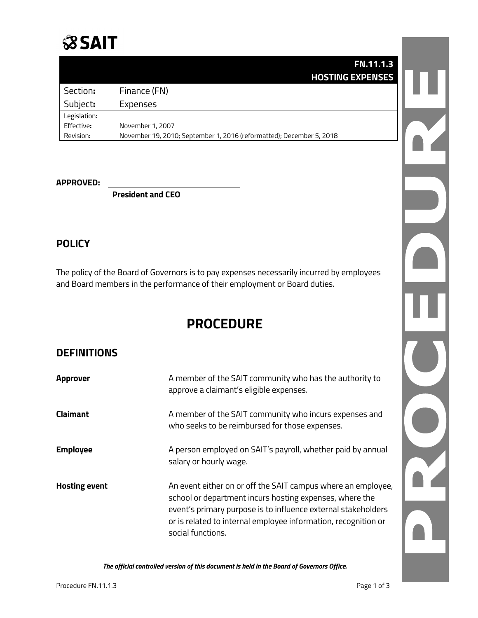

|              | <b>FN.11.1.3</b>                                                     |  |
|--------------|----------------------------------------------------------------------|--|
|              | <b>HOSTING EXPENSES</b>                                              |  |
| Section:     | Finance (FN)                                                         |  |
| Subject:     | Expenses                                                             |  |
| Legislation: |                                                                      |  |
| Effective:   | November 1, 2007                                                     |  |
| Revision:    | November 19, 2010; September 1, 2016 (reformatted); December 5, 2018 |  |

#### **APPROVED:**

**President and CEO**

#### **POLICY**

The policy of the Board of Governors is to pay expenses necessarily incurred by employees and Board members in the performance of their employment or Board duties.

# **PROCEDURE**

## **DEFINITIONS**

| <b>Approver</b>      | A member of the SAIT community who has the authority to<br>approve a claimant's eligible expenses.                                                                                                                                                                              |
|----------------------|---------------------------------------------------------------------------------------------------------------------------------------------------------------------------------------------------------------------------------------------------------------------------------|
| <b>Claimant</b>      | A member of the SAIT community who incurs expenses and<br>who seeks to be reimbursed for those expenses.                                                                                                                                                                        |
| <b>Employee</b>      | A person employed on SAIT's payroll, whether paid by annual<br>salary or hourly wage.                                                                                                                                                                                           |
| <b>Hosting event</b> | An event either on or off the SAIT campus where an employee,<br>school or department incurs hosting expenses, where the<br>event's primary purpose is to influence external stakeholders<br>or is related to internal employee information, recognition or<br>social functions. |

*The official controlled version of this document is held in the Board of Governors Office.*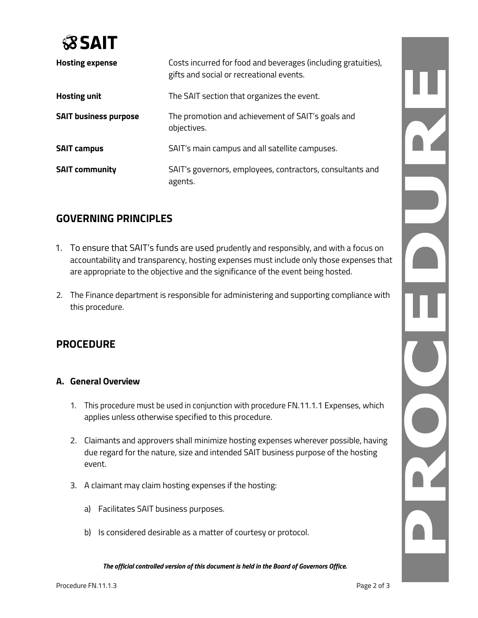

| <b>Hosting expense</b>       | Costs incurred for food and beverages (including gratuities),<br>gifts and social or recreational events. |
|------------------------------|-----------------------------------------------------------------------------------------------------------|
| <b>Hosting unit</b>          | The SAIT section that organizes the event.                                                                |
| <b>SAIT business purpose</b> | The promotion and achievement of SAIT's goals and<br>objectives.                                          |
| <b>SAIT campus</b>           | SAIT's main campus and all satellite campuses.                                                            |
| <b>SAIT community</b>        | SAIT's governors, employees, contractors, consultants and<br>agents.                                      |

## **GOVERNING PRINCIPLES**

- 1. To ensure that SAIT's funds are used prudently and responsibly, and with a focus on accountability and transparency, hosting expenses must include only those expenses that are appropriate to the objective and the significance of the event being hosted.
- 2. The Finance department is responsible for administering and supporting compliance with this procedure.

## **PROCEDURE**

#### **A. General Overview**

- 1. This procedure must be used in conjunction with procedure FN.11.1.1 Expenses, which applies unless otherwise specified to this procedure.
- 2. Claimants and approvers shall minimize hosting expenses wherever possible, having due regard for the nature, size and intended SAIT business purpose of the hosting event.
- 3. A claimant may claim hosting expenses if the hosting:
	- a) Facilitates SAIT business purposes.
	- b) Is considered desirable as a matter of courtesy or protocol.

*The official controlled version of this document is held in the Board of Governors Office.*